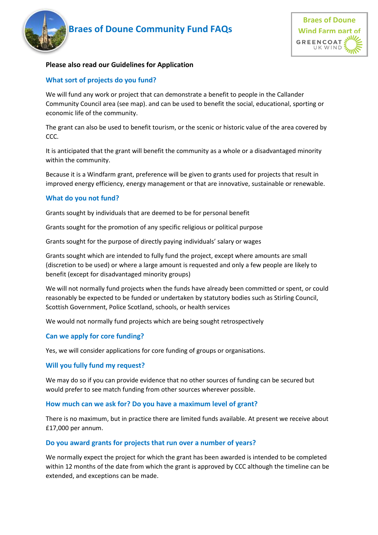# **Rigger 8 of Doune Community Fund FAQs** Wind Farm part of





#### **Please also read our Guidelines for Application**

# **What sort of projects do you fund?**

We will fund any work or project that can demonstrate a benefit to people in the Callander Community Council area (see map). and can be used to benefit the social, educational, sporting or economic life of the community.

The grant can also be used to benefit tourism, or the scenic or historic value of the area covered by CCC.

It is anticipated that the grant will benefit the community as a whole or a disadvantaged minority within the community.

Because it is a Windfarm grant, preference will be given to grants used for projects that result in improved energy efficiency, energy management or that are innovative, sustainable or renewable.

#### **What do you not fund?**

Grants sought by individuals that are deemed to be for personal benefit

Grants sought for the promotion of any specific religious or political purpose

Grants sought for the purpose of directly paying individuals' salary or wages

Grants sought which are intended to fully fund the project, except where amounts are small (discretion to be used) or where a large amount is requested and only a few people are likely to benefit (except for disadvantaged minority groups)

We will not normally fund projects when the funds have already been committed or spent, or could reasonably be expected to be funded or undertaken by statutory bodies such as Stirling Council, Scottish Government, Police Scotland, schools, or health services

We would not normally fund projects which are being sought retrospectively

#### **Can we apply for core funding?**

Yes, we will consider applications for core funding of groups or organisations.

#### **Will you fully fund my request?**

We may do so if you can provide evidence that no other sources of funding can be secured but would prefer to see match funding from other sources wherever possible.

#### **How much can we ask for? Do you have a maximum level of grant?**

There is no maximum, but in practice there are limited funds available. At present we receive about £17,000 per annum.

#### **Do you award grants for projects that run over a number of years?**

We normally expect the project for which the grant has been awarded is intended to be completed within 12 months of the date from which the grant is approved by CCC although the timeline can be extended, and exceptions can be made.